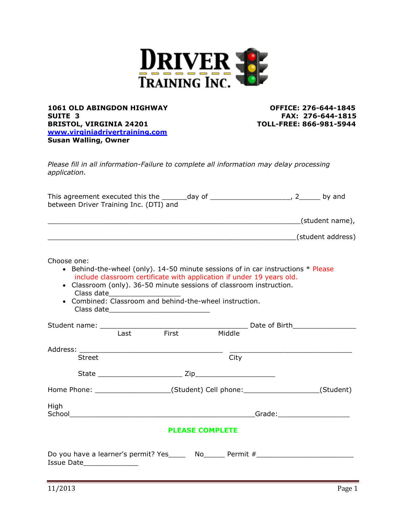

**1061 OLD ABINGDON HIGHWAY OFFICE: 276-644-1845 SUITE 3 FAX: 276-644-1815 BRISTOL, VIRGINIA 24201 TOLL-FREE: 866-981-5944 [www.virginiadrivertraining.com](http://www.virginiadrivertraining.com/) Susan Walling, Owner** 

*Please fill in all information-Failure to complete all information may delay processing application.*

| This agreement executed this the       | dav of | by and |
|----------------------------------------|--------|--------|
| between Driver Training Inc. (DTI) and |        |        |

\_\_\_\_\_\_\_\_\_\_\_\_\_\_\_\_\_\_\_\_\_\_\_\_\_\_\_\_\_\_\_\_\_\_\_\_\_\_\_\_\_\_\_\_\_\_\_\_\_\_\_\_\_\_\_\_\_\_\_\_(student name),

\_\_\_\_\_\_\_\_\_\_\_\_\_\_\_\_\_\_\_\_\_\_\_\_\_\_\_\_\_\_\_\_\_\_\_\_\_\_\_\_\_\_\_\_\_\_\_\_\_\_\_\_\_\_\_\_\_\_\_(student address)

Choose one:

- **•** Behind-the-wheel (only).  $14-50$  minute sessions of in car instructions  $*$  Please include classroom certificate with application if under 19 years old.
- Classroom (only). 36-50 minute sessions of classroom instruction. Class date\_\_\_\_\_\_\_\_\_\_\_\_\_\_\_\_\_
- Combined: Classroom and behind-the-wheel instruction. Class date\_\_\_\_\_\_\_\_\_\_\_\_\_\_\_\_\_\_\_\_\_\_\_\_

|                                                                                  | Last | First | Middle |  |           |  |
|----------------------------------------------------------------------------------|------|-------|--------|--|-----------|--|
|                                                                                  |      |       |        |  |           |  |
| <b>Street</b>                                                                    |      |       | City   |  |           |  |
|                                                                                  |      |       |        |  |           |  |
| Home Phone: ______________________(Student) Cell phone: ________________________ |      |       |        |  | (Student) |  |
| High                                                                             |      |       |        |  |           |  |
| <b>PLEASE COMPLETE</b>                                                           |      |       |        |  |           |  |
| Do you have a learner's permit? Yes Mo example Permit #                          |      |       |        |  |           |  |

Issue Date\_\_\_\_\_\_\_\_\_\_\_\_\_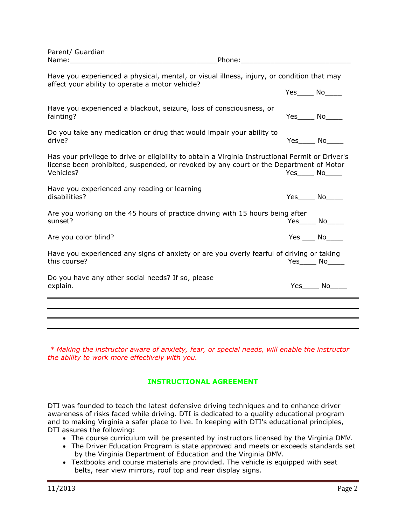| Parent/ Guardian<br>Name: when the contract of the contract of the contract of the contract of the contract of the contract of the                                                                      | Phone: the contract of the contract of the contract of the contract of the contract of the contract of the contract of the contract of the contract of the contract of the contract of the contract of the contract of the con |                               |                   |
|---------------------------------------------------------------------------------------------------------------------------------------------------------------------------------------------------------|--------------------------------------------------------------------------------------------------------------------------------------------------------------------------------------------------------------------------------|-------------------------------|-------------------|
| Have you experienced a physical, mental, or visual illness, injury, or condition that may<br>affect your ability to operate a motor vehicle?                                                            |                                                                                                                                                                                                                                |                               |                   |
|                                                                                                                                                                                                         |                                                                                                                                                                                                                                | $Yes$ No $\qquad$             |                   |
| Have you experienced a blackout, seizure, loss of consciousness, or<br>fainting?                                                                                                                        |                                                                                                                                                                                                                                | $Yes$ No                      |                   |
| Do you take any medication or drug that would impair your ability to<br>drive?                                                                                                                          |                                                                                                                                                                                                                                | $Yes$ No $\qquad$             |                   |
| Has your privilege to drive or eligibility to obtain a Virginia Instructional Permit or Driver's<br>license been prohibited, suspended, or revoked by any court or the Department of Motor<br>Vehicles? |                                                                                                                                                                                                                                | $Yes$ No $\rule{1em}{0.15mm}$ |                   |
| Have you experienced any reading or learning<br>disabilities?                                                                                                                                           |                                                                                                                                                                                                                                | $Yes$ No $N$                  |                   |
| Are you working on the 45 hours of practice driving with 15 hours being after<br>sunset?                                                                                                                |                                                                                                                                                                                                                                |                               | $Yes$ No $\Box$   |
| Are you color blind?                                                                                                                                                                                    |                                                                                                                                                                                                                                |                               | $Yes$ No          |
| Have you experienced any signs of anxiety or are you overly fearful of driving or taking<br>this course?                                                                                                |                                                                                                                                                                                                                                |                               | $Yes$ No_______   |
| Do you have any other social needs? If so, please<br>explain.                                                                                                                                           |                                                                                                                                                                                                                                |                               | $Yes$ No $\qquad$ |
|                                                                                                                                                                                                         |                                                                                                                                                                                                                                |                               |                   |
|                                                                                                                                                                                                         |                                                                                                                                                                                                                                |                               |                   |

*\* Making the instructor aware of anxiety, fear, or special needs, will enable the instructor the ability to work more effectively with you.*

# **INSTRUCTIONAL AGREEMENT**

DTI was founded to teach the latest defensive driving techniques and to enhance driver awareness of risks faced while driving. DTI is dedicated to a quality educational program and to making Virginia a safer place to live. In keeping with DTI's educational principles, DTI assures the following:

- The course curriculum will be presented by instructors licensed by the Virginia DMV.
- The Driver Education Program is state approved and meets or exceeds standards set by the Virginia Department of Education and the Virginia DMV.
- Textbooks and course materials are provided. The vehicle is equipped with seat belts, rear view mirrors, roof top and rear display signs.

Parent/ Guardian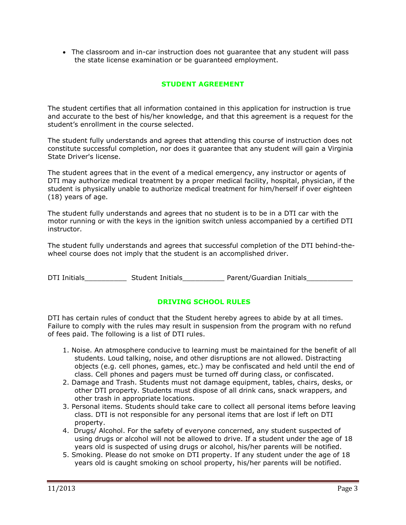The classroom and in-car instruction does not guarantee that any student will pass the state license examination or be guaranteed employment.

# **STUDENT AGREEMENT**

The student certifies that all information contained in this application for instruction is true and accurate to the best of his/her knowledge, and that this agreement is a request for the student's enrollment in the course selected.

The student fully understands and agrees that attending this course of instruction does not constitute successful completion, nor does it guarantee that any student will gain a Virginia State Driver's license.

The student agrees that in the event of a medical emergency, any instructor or agents of DTI may authorize medical treatment by a proper medical facility, hospital, physician, if the student is physically unable to authorize medical treatment for him/herself if over eighteen (18) years of age.

The student fully understands and agrees that no student is to be in a DTI car with the motor running or with the keys in the ignition switch unless accompanied by a certified DTI instructor.

The student fully understands and agrees that successful completion of the DTI behind-thewheel course does not imply that the student is an accomplished driver.

DTI Initials Student Initials Parent/Guardian Initials

### **DRIVING SCHOOL RULES**

DTI has certain rules of conduct that the Student hereby agrees to abide by at all times. Failure to comply with the rules may result in suspension from the program with no refund of fees paid. The following is a list of DTI rules.

- 1. Noise. An atmosphere conducive to learning must be maintained for the benefit of all students. Loud talking, noise, and other disruptions are not allowed. Distracting objects (e.g. cell phones, games, etc.) may be confiscated and held until the end of class. Cell phones and pagers must be turned off during class, or confiscated.
- 2. Damage and Trash. Students must not damage equipment, tables, chairs, desks, or other DTI property. Students must dispose of all drink cans, snack wrappers, and other trash in appropriate locations.
- 3. Personal items. Students should take care to collect all personal items before leaving class. DTI is not responsible for any personal items that are lost if left on DTI property.
- 4. Drugs/ Alcohol. For the safety of everyone concerned, any student suspected of using drugs or alcohol will not be allowed to drive. If a student under the age of 18 years old is suspected of using drugs or alcohol, his/her parents will be notified.
- 5. Smoking. Please do not smoke on DTI property. If any student under the age of 18 years old is caught smoking on school property, his/her parents will be notified.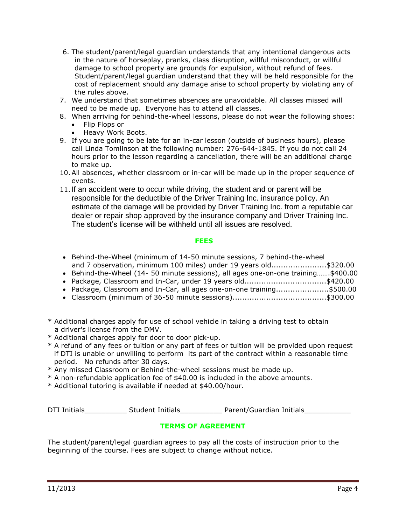- 6. The student/parent/legal guardian understands that any intentional dangerous acts in the nature of horseplay, pranks, class disruption, willful misconduct, or willful damage to school property are grounds for expulsion, without refund of fees. Student/parent/legal guardian understand that they will be held responsible for the cost of replacement should any damage arise to school property by violating any of the rules above.
- 7. We understand that sometimes absences are unavoidable. All classes missed will need to be made up. Everyone has to attend all classes.
- 8. When arriving for behind-the-wheel lessons, please do not wear the following shoes:
	- Flip Flops or
	- Heavy Work Boots.
- 9. If you are going to be late for an in-car lesson (outside of business hours), please call Linda Tomlinson at the following number: 276-644-1845. If you do not call 24 hours prior to the lesson regarding a cancellation, there will be an additional charge to make up.
- 10.All absences, whether classroom or in-car will be made up in the proper sequence of events.
- 11.If an accident were to occur while driving, the student and or parent will be responsible for the deductible of the Driver Training Inc. insurance policy. An estimate of the damage will be provided by Driver Training Inc. from a reputable car dealer or repair shop approved by the insurance company and Driver Training Inc. The student's license will be withheld until all issues are resolved.

### **FEES**

- Behind-the-Wheel (minimum of 14-50 minute sessions, 7 behind-the-wheel and 7 observation, minimum 100 miles) under 19 years old.......................\$320.00
- Behind-the-Wheel (14- 50 minute sessions), all ages one-on-one training…….\$400.00
- Package, Classroom and In-Car, under 19 years old..................................\$420.00
- Package, Classroom and In-Car, all ages one-on-one training......................\$500.00
- Classroom (minimum of 36-50 minute sessions).......................................\$300.00
- \* Additional charges apply for use of school vehicle in taking a driving test to obtain a driver's license from the DMV.
- \* Additional charges apply for door to door pick-up.
- \* A refund of any fees or tuition or any part of fees or tuition will be provided upon request if DTI is unable or unwilling to perform its part of the contract within a reasonable time period. No refunds after 30 days.
- \* Any missed Classroom or Behind-the-wheel sessions must be made up.
- \* A non-refundable application fee of \$40.00 is included in the above amounts.
- \* Additional tutoring is available if needed at \$40.00/hour.

DTI Initials\_\_\_\_\_\_\_\_\_\_\_\_\_\_ Student Initials\_\_\_\_\_\_\_\_\_\_\_\_\_ Parent/Guardian Initials\_\_\_\_\_\_\_\_\_\_\_\_\_\_\_\_\_\_

# **TERMS OF AGREEMENT**

The student/parent/legal guardian agrees to pay all the costs of instruction prior to the beginning of the course. Fees are subject to change without notice.